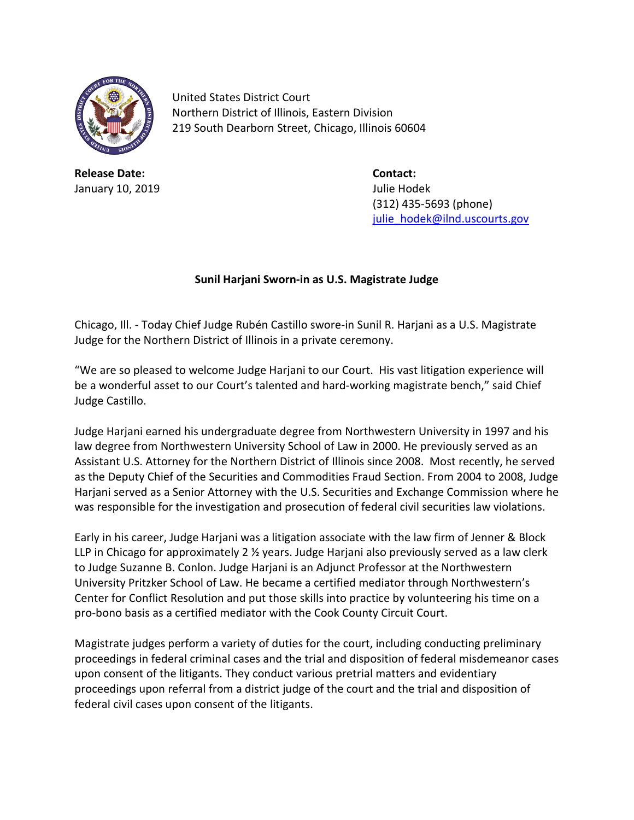

United States District Court Northern District of Illinois, Eastern Division 219 South Dearborn Street, Chicago, Illinois 60604

**Release Date: Contact:** January 10, 2019 **Julie Hodek** 

(312) 435-5693 (phone) [julie\\_hodek@ilnd.uscourts.gov](mailto:julie_hodek@ilnd.uscourts.gov)

## **Sunil Harjani Sworn-in as U.S. Magistrate Judge**

Chicago, Ill. - Today Chief Judge Rubén Castillo swore-in Sunil R. Harjani as a U.S. Magistrate Judge for the Northern District of Illinois in a private ceremony.

"We are so pleased to welcome Judge Harjani to our Court. His vast litigation experience will be a wonderful asset to our Court's talented and hard-working magistrate bench," said Chief Judge Castillo.

Judge Harjani earned his undergraduate degree from Northwestern University in 1997 and his law degree from Northwestern University School of Law in 2000. He previously served as an Assistant U.S. Attorney for the Northern District of Illinois since 2008. Most recently, he served as the Deputy Chief of the Securities and Commodities Fraud Section. From 2004 to 2008, Judge Harjani served as a Senior Attorney with the U.S. Securities and Exchange Commission where he was responsible for the investigation and prosecution of federal civil securities law violations.

Early in his career, Judge Harjani was a litigation associate with the law firm of Jenner & Block LLP in Chicago for approximately 2 ½ years. Judge Harjani also previously served as a law clerk to Judge Suzanne B. Conlon. Judge Harjani is an Adjunct Professor at the Northwestern University Pritzker School of Law. He became a certified mediator through Northwestern's Center for Conflict Resolution and put those skills into practice by volunteering his time on a pro-bono basis as a certified mediator with the Cook County Circuit Court.

Magistrate judges perform a variety of duties for the court, including conducting preliminary proceedings in federal criminal cases and the trial and disposition of federal misdemeanor cases upon consent of the litigants. They conduct various pretrial matters and evidentiary proceedings upon referral from a district judge of the court and the trial and disposition of federal civil cases upon consent of the litigants.